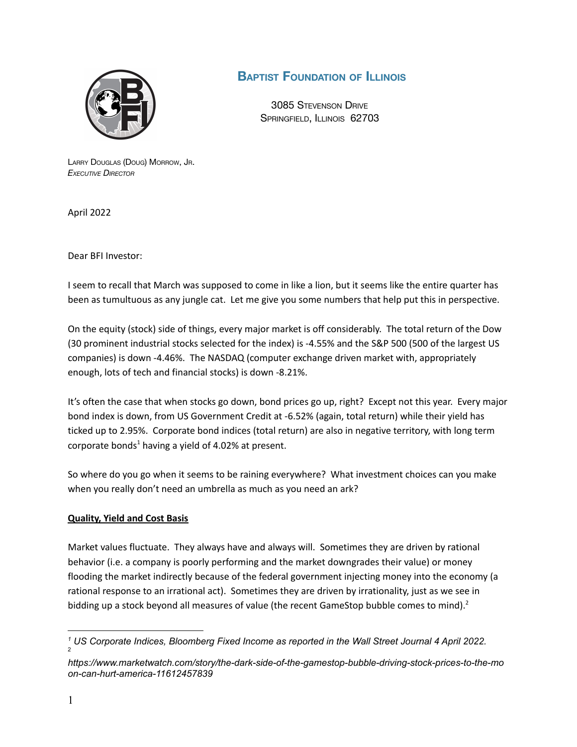

## **BAPTIST FOUNDATION OF ILLINOIS**

3085 STEVENSON DRIVE SPRINGFIELD, ILLINOIS 62703

LARRY DOUGLAS (DOUG) MORROW, JR. *EXECUTIVE DIRECTOR*

April 2022

Dear BFI Investor:

I seem to recall that March was supposed to come in like a lion, but it seems like the entire quarter has been as tumultuous as any jungle cat. Let me give you some numbers that help put this in perspective.

On the equity (stock) side of things, every major market is off considerably. The total return of the Dow (30 prominent industrial stocks selected for the index) is -4.55% and the S&P 500 (500 of the largest US companies) is down -4.46%. The NASDAQ (computer exchange driven market with, appropriately enough, lots of tech and financial stocks) is down -8.21%.

It's often the case that when stocks go down, bond prices go up, right? Except not this year. Every major bond index is down, from US Government Credit at -6.52% (again, total return) while their yield has ticked up to 2.95%. Corporate bond indices (total return) are also in negative territory, with long term corporate bonds <sup>1</sup> having a yield of 4.02% at present.

So where do you go when it seems to be raining everywhere? What investment choices can you make when you really don't need an umbrella as much as you need an ark?

## **Quality, Yield and Cost Basis**

Market values fluctuate. They always have and always will. Sometimes they are driven by rational behavior (i.e. a company is poorly performing and the market downgrades their value) or money flooding the market indirectly because of the federal government injecting money into the economy (a rational response to an irrational act). Sometimes they are driven by irrationality, just as we see in bidding up a stock beyond all measures of value (the recent GameStop bubble comes to mind).<sup>2</sup>

 $\overline{2}$ *<sup>1</sup> US Corporate Indices, Bloomberg Fixed Income as reported in the Wall Street Journal 4 April 2022.*

*https://www.marketwatch.com/story/the-dark-side-of-the-gamestop-bubble-driving-stock-prices-to-the-mo on-can-hurt-america-11612457839*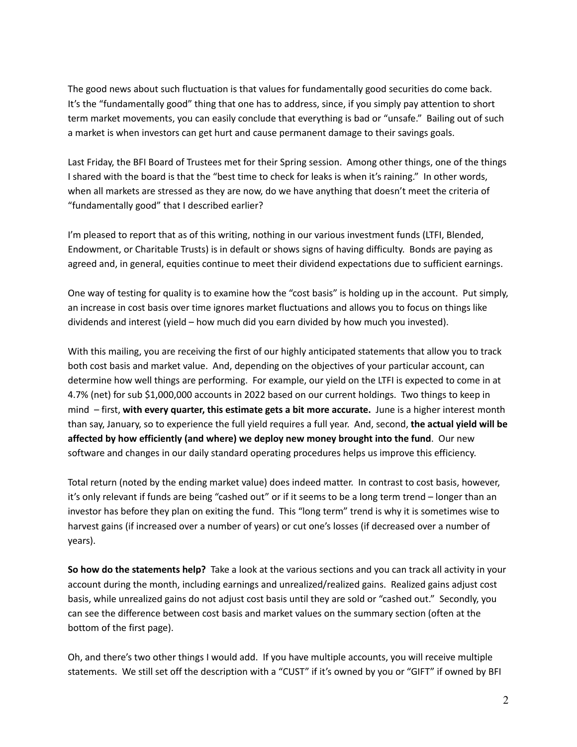The good news about such fluctuation is that values for fundamentally good securities do come back. It's the "fundamentally good" thing that one has to address, since, if you simply pay attention to short term market movements, you can easily conclude that everything is bad or "unsafe." Bailing out of such a market is when investors can get hurt and cause permanent damage to their savings goals.

Last Friday, the BFI Board of Trustees met for their Spring session. Among other things, one of the things I shared with the board is that the "best time to check for leaks is when it's raining." In other words, when all markets are stressed as they are now, do we have anything that doesn't meet the criteria of "fundamentally good" that I described earlier?

I'm pleased to report that as of this writing, nothing in our various investment funds (LTFI, Blended, Endowment, or Charitable Trusts) is in default or shows signs of having difficulty. Bonds are paying as agreed and, in general, equities continue to meet their dividend expectations due to sufficient earnings.

One way of testing for quality is to examine how the "cost basis" is holding up in the account. Put simply, an increase in cost basis over time ignores market fluctuations and allows you to focus on things like dividends and interest (yield – how much did you earn divided by how much you invested).

With this mailing, you are receiving the first of our highly anticipated statements that allow you to track both cost basis and market value. And, depending on the objectives of your particular account, can determine how well things are performing. For example, our yield on the LTFI is expected to come in at 4.7% (net) for sub \$1,000,000 accounts in 2022 based on our current holdings. Two things to keep in mind – first, **with every quarter, this estimate gets a bit more accurate.** June is a higher interest month than say, January, so to experience the full yield requires a full year. And, second, **the actual yield will be affected by how efficiently (and where) we deploy new money brought into the fund**. Our new software and changes in our daily standard operating procedures helps us improve this efficiency.

Total return (noted by the ending market value) does indeed matter. In contrast to cost basis, however, it's only relevant if funds are being "cashed out" or if it seems to be a long term trend – longer than an investor has before they plan on exiting the fund. This "long term" trend is why it is sometimes wise to harvest gains (if increased over a number of years) or cut one's losses (if decreased over a number of years).

**So how do the statements help?** Take a look at the various sections and you can track all activity in your account during the month, including earnings and unrealized/realized gains. Realized gains adjust cost basis, while unrealized gains do not adjust cost basis until they are sold or "cashed out." Secondly, you can see the difference between cost basis and market values on the summary section (often at the bottom of the first page).

Oh, and there's two other things I would add. If you have multiple accounts, you will receive multiple statements. We still set off the description with a "CUST" if it's owned by you or "GIFT" if owned by BFI